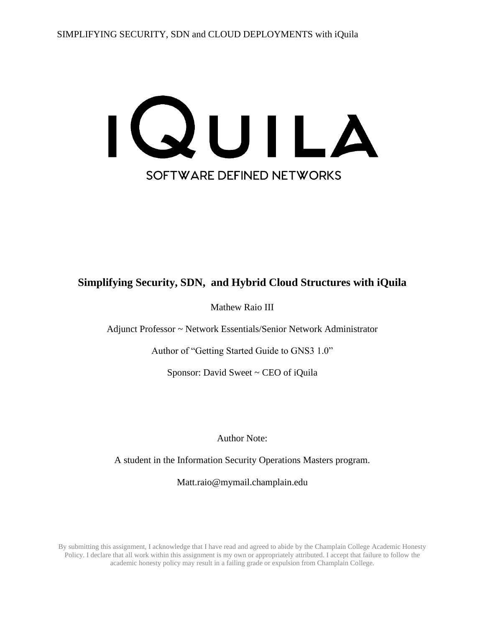

# **Simplifying Security, SDN, and Hybrid Cloud Structures with iQuila**

Mathew Raio III

Adjunct Professor ~ Network Essentials/Senior Network Administrator

Author of "Getting Started Guide to GNS3 1.0"

Sponsor: David Sweet ~ CEO of iQuila

Author Note:

A student in the Information Security Operations Masters program.

Matt.raio@mymail.champlain.edu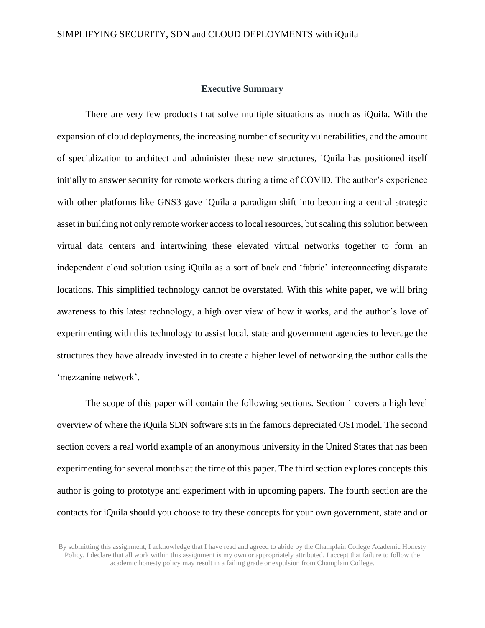#### **Executive Summary**

There are very few products that solve multiple situations as much as iQuila. With the expansion of cloud deployments, the increasing number of security vulnerabilities, and the amount of specialization to architect and administer these new structures, iQuila has positioned itself initially to answer security for remote workers during a time of COVID. The author's experience with other platforms like GNS3 gave iQuila a paradigm shift into becoming a central strategic asset in building not only remote worker access to local resources, but scaling this solution between virtual data centers and intertwining these elevated virtual networks together to form an independent cloud solution using iQuila as a sort of back end 'fabric' interconnecting disparate locations. This simplified technology cannot be overstated. With this white paper, we will bring awareness to this latest technology, a high over view of how it works, and the author's love of experimenting with this technology to assist local, state and government agencies to leverage the structures they have already invested in to create a higher level of networking the author calls the 'mezzanine network'.

The scope of this paper will contain the following sections. Section 1 covers a high level overview of where the iQuila SDN software sits in the famous depreciated OSI model. The second section covers a real world example of an anonymous university in the United States that has been experimenting for several months at the time of this paper. The third section explores concepts this author is going to prototype and experiment with in upcoming papers. The fourth section are the contacts for iQuila should you choose to try these concepts for your own government, state and or

By submitting this assignment, I acknowledge that I have read and agreed to abide by the Champlain College Academic Honesty Policy. I declare that all work within this assignment is my own or appropriately attributed. I accept that failure to follow the academic honesty policy may result in a failing grade or expulsion from Champlain College.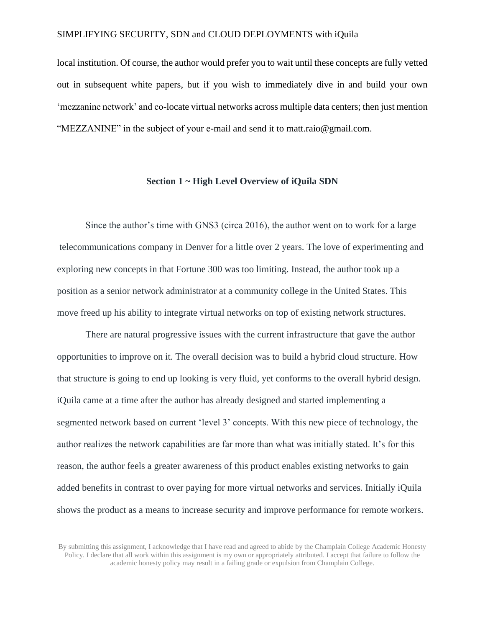local institution. Of course, the author would prefer you to wait until these concepts are fully vetted out in subsequent white papers, but if you wish to immediately dive in and build your own 'mezzanine network' and co-locate virtual networks across multiple data centers; then just mention "MEZZANINE" in the subject of your e-mail and send it to [matt.raio@gmail.com.](mailto:matt.raio@gmail.com)

### **Section 1 ~ High Level Overview of iQuila SDN**

Since the author's time with GNS3 (circa 2016), the author went on to work for a large telecommunications company in Denver for a little over 2 years. The love of experimenting and exploring new concepts in that Fortune 300 was too limiting. Instead, the author took up a position as a senior network administrator at a community college in the United States. This move freed up his ability to integrate virtual networks on top of existing network structures.

There are natural progressive issues with the current infrastructure that gave the author opportunities to improve on it. The overall decision was to build a hybrid cloud structure. How that structure is going to end up looking is very fluid, yet conforms to the overall hybrid design. iQuila came at a time after the author has already designed and started implementing a segmented network based on current 'level 3' concepts. With this new piece of technology, the author realizes the network capabilities are far more than what was initially stated. It's for this reason, the author feels a greater awareness of this product enables existing networks to gain added benefits in contrast to over paying for more virtual networks and services. Initially iQuila shows the product as a means to increase security and improve performance for remote workers.

By submitting this assignment, I acknowledge that I have read and agreed to abide by the Champlain College Academic Honesty Policy. I declare that all work within this assignment is my own or appropriately attributed. I accept that failure to follow the academic honesty policy may result in a failing grade or expulsion from Champlain College.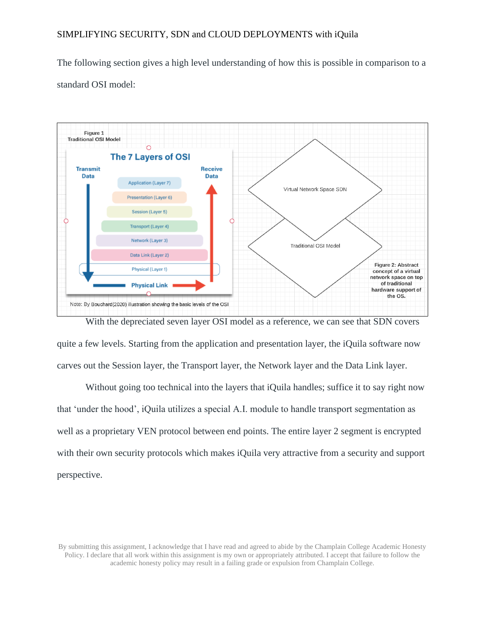The following section gives a high level understanding of how this is possible in comparison to a standard OSI model:



With the depreciated seven layer OSI model as a reference, we can see that SDN covers quite a few levels. Starting from the application and presentation layer, the iQuila software now carves out the Session layer, the Transport layer, the Network layer and the Data Link layer.

Without going too technical into the layers that iQuila handles; suffice it to say right now that 'under the hood', iQuila utilizes a special A.I. module to handle transport segmentation as well as a proprietary VEN protocol between end points. The entire layer 2 segment is encrypted with their own security protocols which makes iQuila very attractive from a security and support perspective.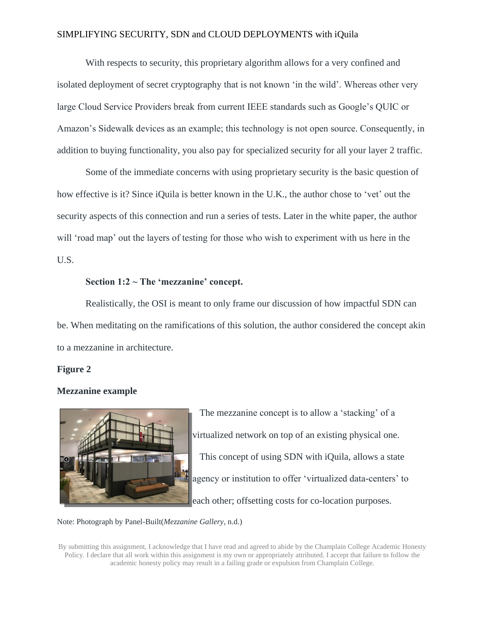With respects to security, this proprietary algorithm allows for a very confined and isolated deployment of secret cryptography that is not known 'in the wild'. Whereas other very large Cloud Service Providers break from current IEEE standards such as Google's QUIC or Amazon's Sidewalk devices as an example; this technology is not open source. Consequently, in addition to buying functionality, you also pay for specialized security for all your layer 2 traffic.

Some of the immediate concerns with using proprietary security is the basic question of how effective is it? Since iQuila is better known in the U.K., the author chose to 'vet' out the security aspects of this connection and run a series of tests. Later in the white paper, the author will 'road map' out the layers of testing for those who wish to experiment with us here in the U.S.

## **Section 1:2 ~ The 'mezzanine' concept.**

Realistically, the OSI is meant to only frame our discussion of how impactful SDN can be. When meditating on the ramifications of this solution, the author considered the concept akin to a mezzanine in architecture.

#### **Figure 2**

## **Mezzanine example**



The mezzanine concept is to allow a 'stacking' of a virtualized network on top of an existing physical one. This concept of using SDN with iQuila, allows a state agency or institution to offer 'virtualized data-centers' to each other; offsetting costs for co-location purposes.

#### Note: Photograph by Panel-Built(*Mezzanine Gallery*, n.d.)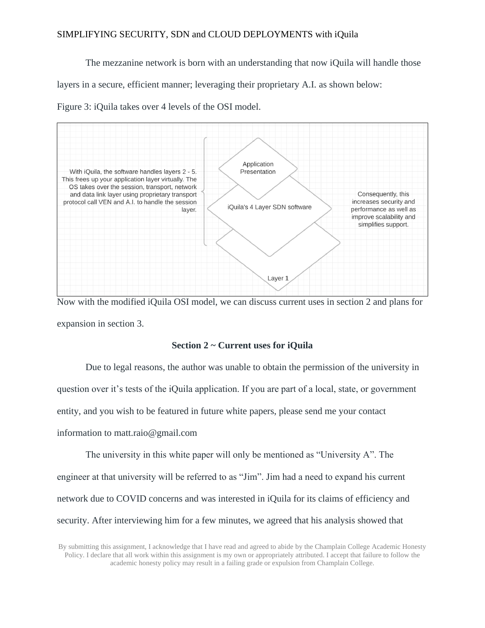The mezzanine network is born with an understanding that now iQuila will handle those

layers in a secure, efficient manner; leveraging their proprietary A.I. as shown below:

Figure 3: iQuila takes over 4 levels of the OSI model.



Now with the modified iQuila OSI model, we can discuss current uses in section 2 and plans for expansion in section 3.

#### **Section 2 ~ Current uses for iQuila**

Due to legal reasons, the author was unable to obtain the permission of the university in question over it's tests of the iQuila application. If you are part of a local, state, or government entity, and you wish to be featured in future white papers, please send me your contact information to matt.raio@gmail.com

The university in this white paper will only be mentioned as "University A". The engineer at that university will be referred to as "Jim". Jim had a need to expand his current network due to COVID concerns and was interested in iQuila for its claims of efficiency and security. After interviewing him for a few minutes, we agreed that his analysis showed that

By submitting this assignment, I acknowledge that I have read and agreed to abide by the Champlain College Academic Honesty Policy. I declare that all work within this assignment is my own or appropriately attributed. I accept that failure to follow the academic honesty policy may result in a failing grade or expulsion from Champlain College.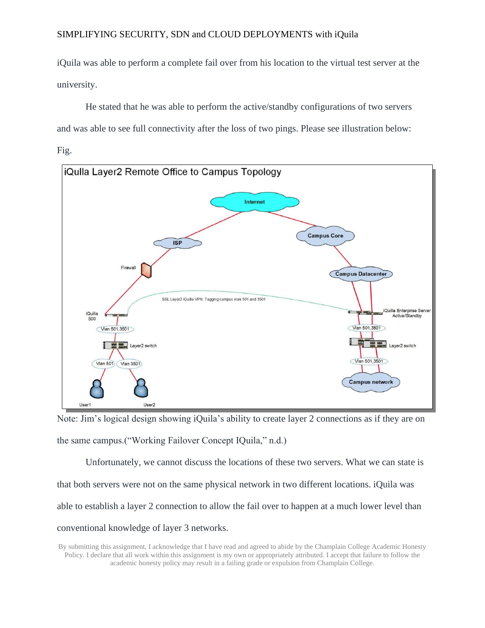iQuila was able to perform a complete fail over from his location to the virtual test server at the university.

He stated that he was able to perform the active/standby configurations of two servers and was able to see full connectivity after the loss of two pings. Please see illustration below:





Note: Jim's logical design showing iQuila's ability to create layer 2 connections as if they are on the same campus.("Working Failover Concept IQuila," n.d.)

Unfortunately, we cannot discuss the locations of these two servers. What we can state is that both servers were not on the same physical network in two different locations. iQuila was able to establish a layer 2 connection to allow the fail over to happen at a much lower level than conventional knowledge of layer 3 networks.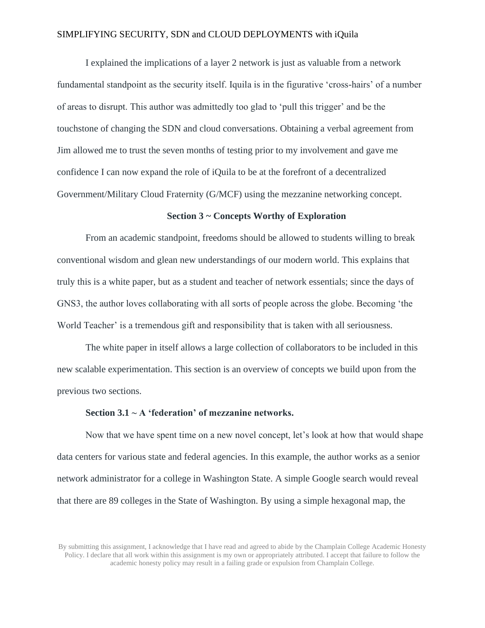I explained the implications of a layer 2 network is just as valuable from a network fundamental standpoint as the security itself. Iquila is in the figurative 'cross-hairs' of a number of areas to disrupt. This author was admittedly too glad to 'pull this trigger' and be the touchstone of changing the SDN and cloud conversations. Obtaining a verbal agreement from Jim allowed me to trust the seven months of testing prior to my involvement and gave me confidence I can now expand the role of iQuila to be at the forefront of a decentralized Government/Military Cloud Fraternity (G/MCF) using the mezzanine networking concept.

#### **Section 3 ~ Concepts Worthy of Exploration**

From an academic standpoint, freedoms should be allowed to students willing to break conventional wisdom and glean new understandings of our modern world. This explains that truly this is a white paper, but as a student and teacher of network essentials; since the days of GNS3, the author loves collaborating with all sorts of people across the globe. Becoming 'the World Teacher' is a tremendous gift and responsibility that is taken with all seriousness.

The white paper in itself allows a large collection of collaborators to be included in this new scalable experimentation. This section is an overview of concepts we build upon from the previous two sections.

#### **Section 3.1 ~ A 'federation' of mezzanine networks.**

Now that we have spent time on a new novel concept, let's look at how that would shape data centers for various state and federal agencies. In this example, the author works as a senior network administrator for a college in Washington State. A simple Google search would reveal that there are 89 colleges in the State of Washington. By using a simple hexagonal map, the

By submitting this assignment, I acknowledge that I have read and agreed to abide by the Champlain College Academic Honesty Policy. I declare that all work within this assignment is my own or appropriately attributed. I accept that failure to follow the academic honesty policy may result in a failing grade or expulsion from Champlain College.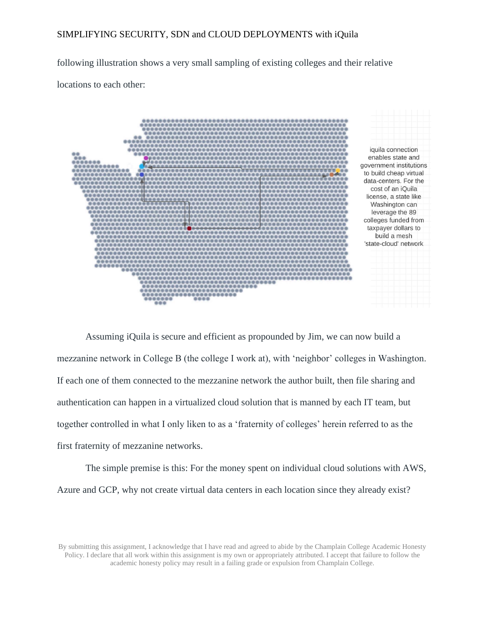following illustration shows a very small sampling of existing colleges and their relative

locations to each other:



Assuming iQuila is secure and efficient as propounded by Jim, we can now build a mezzanine network in College B (the college I work at), with 'neighbor' colleges in Washington. If each one of them connected to the mezzanine network the author built, then file sharing and authentication can happen in a virtualized cloud solution that is manned by each IT team, but together controlled in what I only liken to as a 'fraternity of colleges' herein referred to as the first fraternity of mezzanine networks.

The simple premise is this: For the money spent on individual cloud solutions with AWS, Azure and GCP, why not create virtual data centers in each location since they already exist?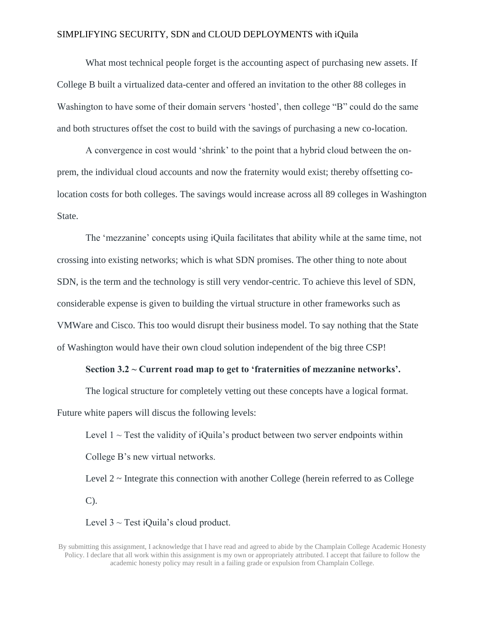What most technical people forget is the accounting aspect of purchasing new assets. If College B built a virtualized data-center and offered an invitation to the other 88 colleges in Washington to have some of their domain servers 'hosted', then college "B" could do the same and both structures offset the cost to build with the savings of purchasing a new co-location.

A convergence in cost would 'shrink' to the point that a hybrid cloud between the onprem, the individual cloud accounts and now the fraternity would exist; thereby offsetting colocation costs for both colleges. The savings would increase across all 89 colleges in Washington State.

The 'mezzanine' concepts using iQuila facilitates that ability while at the same time, not crossing into existing networks; which is what SDN promises. The other thing to note about SDN, is the term and the technology is still very vendor-centric. To achieve this level of SDN, considerable expense is given to building the virtual structure in other frameworks such as VMWare and Cisco. This too would disrupt their business model. To say nothing that the State of Washington would have their own cloud solution independent of the big three CSP!

#### **Section 3.2 ~ Current road map to get to 'fraternities of mezzanine networks'.**

The logical structure for completely vetting out these concepts have a logical format. Future white papers will discus the following levels:

Level  $1 \sim$  Test the validity of iQuila's product between two server endpoints within College B's new virtual networks.

Level 2 ~ Integrate this connection with another College (herein referred to as College C).

Level  $3 \sim$  Test iQuila's cloud product.

By submitting this assignment, I acknowledge that I have read and agreed to abide by the Champlain College Academic Honesty Policy. I declare that all work within this assignment is my own or appropriately attributed. I accept that failure to follow the academic honesty policy may result in a failing grade or expulsion from Champlain College.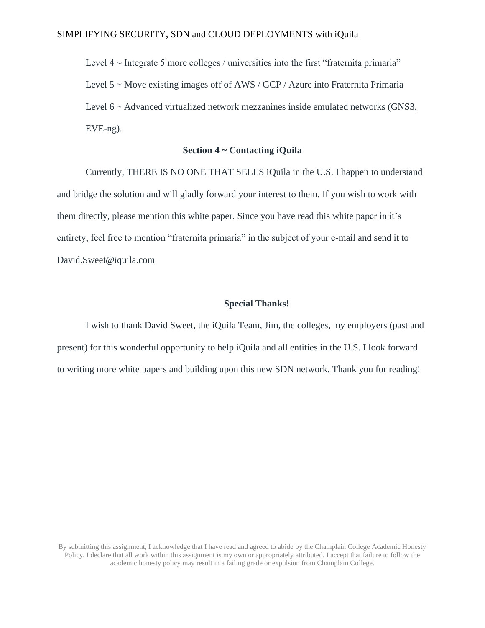Level  $4 \sim$  Integrate 5 more colleges / universities into the first "fraternita primaria" Level 5 ~ Move existing images off of AWS / GCP / Azure into Fraternita Primaria Level 6 ~ Advanced virtualized network mezzanines inside emulated networks (GNS3, EVE-ng).

## **Section 4 ~ Contacting iQuila**

Currently, THERE IS NO ONE THAT SELLS iQuila in the U.S. I happen to understand and bridge the solution and will gladly forward your interest to them. If you wish to work with them directly, please mention this white paper. Since you have read this white paper in it's entirety, feel free to mention "fraternita primaria" in the subject of your e-mail and send it to [David.Sweet@iquila.com](mailto:David.Sweet@iquila.com)

### **Special Thanks!**

I wish to thank David Sweet, the iQuila Team, Jim, the colleges, my employers (past and present) for this wonderful opportunity to help iQuila and all entities in the U.S. I look forward to writing more white papers and building upon this new SDN network. Thank you for reading!